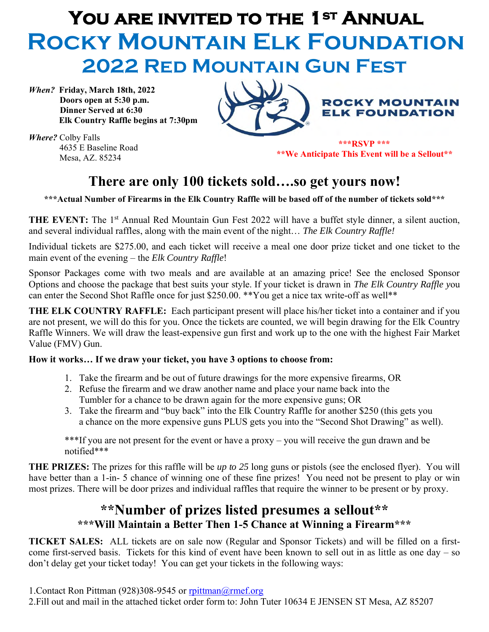# **You are invited to the 1st Annual Rocky Mountain Elk Foundation 2022 Red Mountain Gun Fest**

*When?* **Friday, March 18th, 2022 Doors open at 5:30 p.m. Dinner Served at 6:30 Elk Country Raffle begins at 7:30pm**



*Where?* Colby Falls 4635 E Baseline Road Mesa, AZ. 85234

**\*\*\*RSVP \*\*\* \*\*We Anticipate This Event will be a Sellout\*\***

#### **There are only 100 tickets sold….so get yours now!**

**\*\*\*Actual Number of Firearms in the Elk Country Raffle will be based off of the number of tickets sold\*\*\***

THE EVENT: The 1<sup>st</sup> Annual Red Mountain Gun Fest 2022 will have a buffet style dinner, a silent auction, and several individual raffles, along with the main event of the night… *The Elk Country Raffle!*

Individual tickets are \$275.00, and each ticket will receive a meal one door prize ticket and one ticket to the main event of the evening – the *Elk Country Raffle*!

Sponsor Packages come with two meals and are available at an amazing price! See the enclosed Sponsor Options and choose the package that best suits your style. If your ticket is drawn in *The Elk Country Raffle y*ou can enter the Second Shot Raffle once for just \$250.00. \*\* You get a nice tax write-off as well\*\*

**THE ELK COUNTRY RAFFLE:** Each participant present will place his/her ticket into a container and if you are not present, we will do this for you. Once the tickets are counted, we will begin drawing for the Elk Country Raffle Winners. We will draw the least-expensive gun first and work up to the one with the highest Fair Market Value (FMV) Gun.

#### **How it works… If we draw your ticket, you have 3 options to choose from:**

- 1. Take the firearm and be out of future drawings for the more expensive firearms, OR
- 2. Refuse the firearm and we draw another name and place your name back into the Tumbler for a chance to be drawn again for the more expensive guns; OR
- 3. Take the firearm and "buy back" into the Elk Country Raffle for another \$250 (this gets you a chance on the more expensive guns PLUS gets you into the "Second Shot Drawing" as well).

\*\*\*If you are not present for the event or have a proxy – you will receive the gun drawn and be notified\*\*\*

**THE PRIZES:** The prizes for this raffle will be *up to 25* long guns or pistols (see the enclosed flyer). You will have better than a 1-in- 5 chance of winning one of these fine prizes! You need not be present to play or win most prizes. There will be door prizes and individual raffles that require the winner to be present or by proxy.

#### **\*\*Number of prizes listed presumes a sellout\*\* \*\*\*Will Maintain a Better Then 1-5 Chance at Winning a Firearm\*\*\***

**TICKET SALES:** ALL tickets are on sale now (Regular and Sponsor Tickets) and will be filled on a firstcome first-served basis. Tickets for this kind of event have been known to sell out in as little as one day – so don't delay get your ticket today! You can get your tickets in the following ways: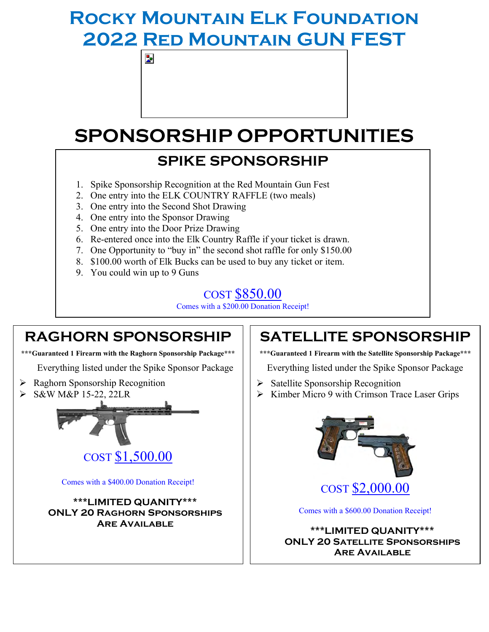## **Rocky Mountain Elk Foundation 2022 Red Mountain GUN FEST**

## **SPONSORSHIP OPPORTUNITIES**

### **SPIKE SPONSORSHIP**

- 1. Spike Sponsorship Recognition at the Red Mountain Gun Fest
- 2. One entry into the ELK COUNTRY RAFFLE (two meals)
- 3. One entry into the Second Shot Drawing
- 4. One entry into the Sponsor Drawing

Þ.

- 5. One entry into the Door Prize Drawing
- 6. Re-entered once into the Elk Country Raffle if your ticket is drawn.
- 7. One Opportunity to "buy in" the second shot raffle for only \$150.00
- 8. \$100.00 worth of Elk Bucks can be used to buy any ticket or item.
- 9. You could win up to 9 Guns

#### COST \$850.00

Comes with a \$200.00 Donation Receipt!

#### **RAGHORN SPONSORSHIP**

**\*\*\*Guaranteed 1 Firearm with the Raghorn Sponsorship Package\*\*\***

Everything listed under the Spike Sponsor Package

- ➢ Raghorn Sponsorship Recognition
- ➢ S&W M&P 15-22, 22LR



Comes with a \$400.00 Donation Receipt!

**\*\*\*LIMITED QUANITY\*\*\* ONLY 20 Raghorn Sponsorships Are Available**

#### **SATELLITE SPONSORSHIP**

**\*\*\*Guaranteed 1 Firearm with the Satellite Sponsorship Package\*\*\***

Everything listed under the Spike Sponsor Package

- ➢ Satellite Sponsorship Recognition
- ➢ Kimber Micro 9 with Crimson Trace Laser Grips



Comes with a \$600.00 Donation Receipt!

**\*\*\*LIMITED QUANITY\*\*\* ONLY 20 Satellite Sponsorships Are Available**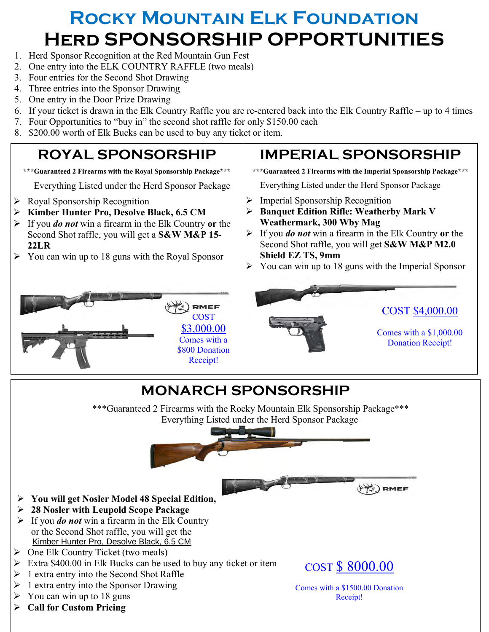## **Rocky Mountain Elk Foundation Herd SPONSORSHIP OPPORTUNITIES**

- 1. Herd Sponsor Recognition at the Red Mountain Gun Fest
- 2. One entry into the ELK COUNTRY RAFFLE (two meals)
- 3. Four entries for the Second Shot Drawing
- 4. Three entries into the Sponsor Drawing
- 5. One entry in the Door Prize Drawing
- 6. If your ticket is drawn in the Elk Country Raffle you are re-entered back into the Elk Country Raffle up to 4 times
- 7. Four Opportunities to "buy in" the second shot raffle for only \$150.00 each
- 8. \$200.00 worth of Elk Bucks can be used to buy any ticket or item.

### **ROYAL SPONSORSHIP**

**\*\*\*Guaranteed 2 Firearms with the Royal Sponsorship Package\*\*\***

Everything Listed under the Herd Sponsor Package

- ➢ Royal Sponsorship Recognition
- ➢ **Kimber Hunter Pro, Desolve Black, 6.5 CM**
- ➢ If you *do not* win a firearm in the Elk Country **or** the Second Shot raffle, you will get a **S&W M&P 15- 22LR**
- $\triangleright$  You can win up to 18 guns with the Royal Sponsor



### **IMPERIAL SPONSORSHIP**

**\*\*\*Guaranteed 2 Firearms with the Imperial Sponsorship Package\*\*\***

Everything Listed under the Herd Sponsor Package

- $\triangleright$  Imperial Sponsorship Recognition
- ➢ **Banquet Edition Rifle: Weatherby Mark V Weathermark, 300 Wby Mag**
- ➢ If you *do not* win a firearm in the Elk Country **or** the Second Shot raffle, you will get **S&W M&P M2.0 Shield EZ TS, 9mm**
- ➢ You can win up to 18 guns with the Imperial Sponsor



### **MONARCH SPONSORSHIP**

\*\*\*Guaranteed 2 Firearms with the Rocky Mountain Elk Sponsorship Package\*\*\* Everything Listed under the Herd Sponsor Package



- ➢ **You will get Nosler Model 48 Special Edition,**
- ➢ **28 Nosler with Leupold Scope Package**
- ➢ If you *do not* win a firearm in the Elk Country or the Second Shot raffle, you will get the [Kimber Hunter Pro, Desolve Black, 6.5 CM](https://events.rmef.org/admin/merchandise/Product/9819/22289?productId=2282)
- $\triangleright$  One Elk Country Ticket (two meals)
- $\triangleright$  Extra \$400.00 in Elk Bucks can be used to buy any ticket or item.
- $\triangleright$  1 extra entry into the Second Shot Raffle
- $\triangleright$  1 extra entry into the Sponsor Drawing
- You can win up to 18 guns
- ➢ **Call for Custom Pricing**



RMEF

htry into the Sponsor Drawing<br>
win up to 18 guns
<br> **ELECT REARMS**<br> **ELECT REARMS**<br> **ELECT REARMS**<br> **ELECT REARMS**<br> **ELECT REARMS**<br> **ELECT REARMS**<br> **ELECT REARMS**<br> **ELECT REARMS**<br> **ELECT REARMS** Comes with a \$1500.00 Donation Receipt!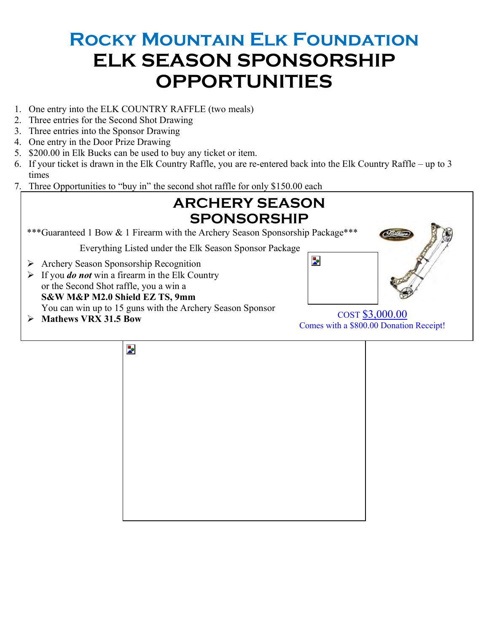### **Rocky Mountain Elk Foundation ELK SEASON SPONSORSHIP OPPORTUNITIES**

- 1. One entry into the ELK COUNTRY RAFFLE (two meals)
- 2. Three entries for the Second Shot Drawing
- 3. Three entries into the Sponsor Drawing
- 4. One entry in the Door Prize Drawing
- 5. \$200.00 in Elk Bucks can be used to buy any ticket or item.
- 6. If your ticket is drawn in the Elk Country Raffle, you are re-entered back into the Elk Country Raffle up to 3 times
- 7. Three Opportunities to "buy in" the second shot raffle for only \$150.00 each



Þ.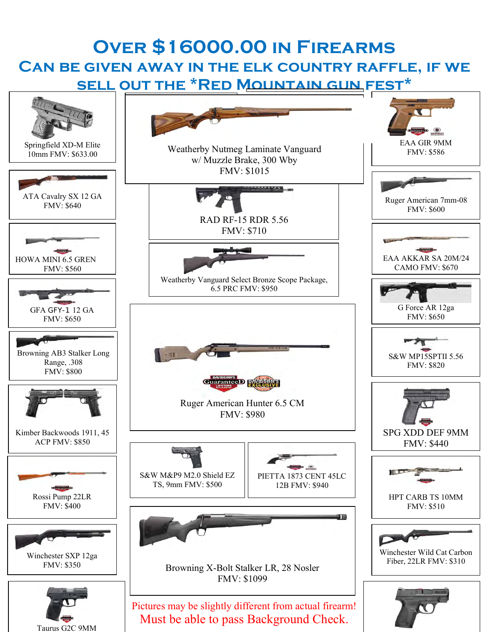### **Over \$16000.00 in Firearms Can be given away in the elk country raffle, if we sell out the \*Red Mountain gun fest\***